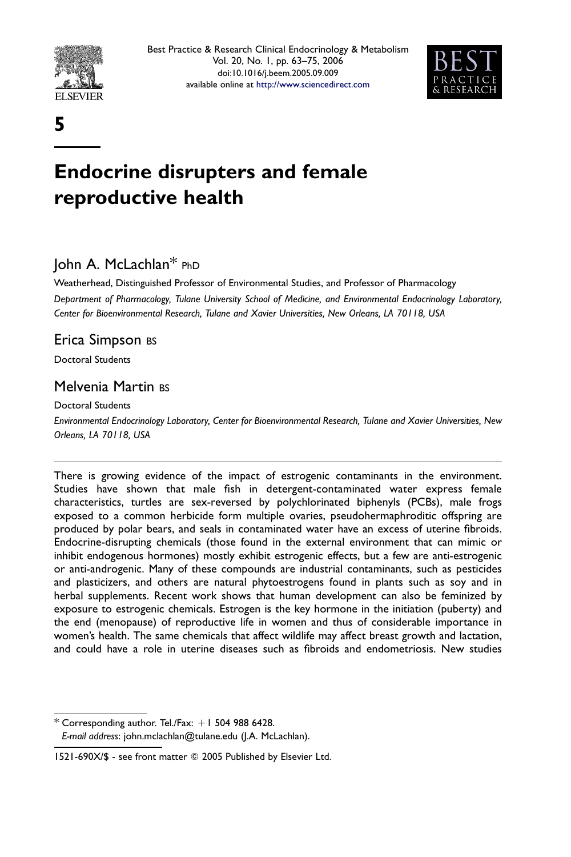

5



# Endocrine disrupters and female reproductive health

# John A. McLachlan\* PhD

Weatherhead, Distinguished Professor of Environmental Studies, and Professor of Pharmacology Department of Pharmacology, Tulane University School of Medicine, and Environmental Endocrinology Laboratory, Center for Bioenvironmental Research, Tulane and Xavier Universities, New Orleans, LA 70118, USA

# Erica Simpson BS

Doctoral Students

# Melvenia Martin BS

#### Doctoral Students

Environmental Endocrinology Laboratory, Center for Bioenvironmental Research, Tulane and Xavier Universities, New Orleans, LA 70118, USA

There is growing evidence of the impact of estrogenic contaminants in the environment. Studies have shown that male fish in detergent-contaminated water express female characteristics, turtles are sex-reversed by polychlorinated biphenyls (PCBs), male frogs exposed to a common herbicide form multiple ovaries, pseudohermaphroditic offspring are produced by polar bears, and seals in contaminated water have an excess of uterine fibroids. Endocrine-disrupting chemicals (those found in the external environment that can mimic or inhibit endogenous hormones) mostly exhibit estrogenic effects, but a few are anti-estrogenic or anti-androgenic. Many of these compounds are industrial contaminants, such as pesticides and plasticizers, and others are natural phytoestrogens found in plants such as soy and in herbal supplements. Recent work shows that human development can also be feminized by exposure to estrogenic chemicals. Estrogen is the key hormone in the initiation (puberty) and the end (menopause) of reproductive life in women and thus of considerable importance in women's health. The same chemicals that affect wildlife may affect breast growth and lactation, and could have a role in uterine diseases such as fibroids and endometriosis. New studies

 $*$  Corresponding author. Tel./Fax:  $+1$  504 988 6428. E-mail address: john.mclachlan@tulane.edu (J.A. McLachlan).

<sup>1521-690</sup>X/\$ - see front matter Q 2005 Published by Elsevier Ltd.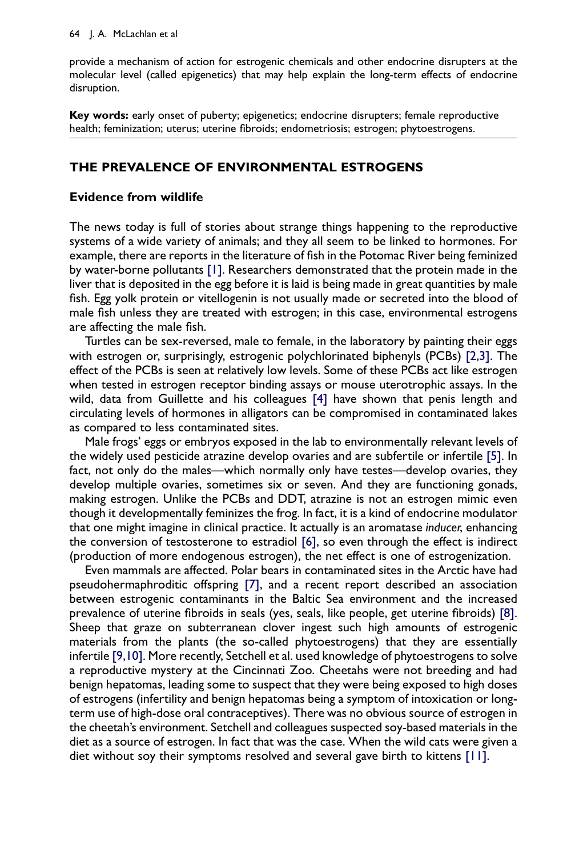provide a mechanism of action for estrogenic chemicals and other endocrine disrupters at the molecular level (called epigenetics) that may help explain the long-term effects of endocrine disruption.

Key words: early onset of puberty; epigenetics; endocrine disrupters; female reproductive health; feminization; uterus; uterine fibroids; endometriosis; estrogen; phytoestrogens.

#### THE PREVALENCE OF ENVIRONMENTAL ESTROGENS

#### Evidence from wildlife

The news today is full of stories about strange things happening to the reproductive systems of a wide variety of animals; and they all seem to be linked to hormones. For example, there are reports in the literature of fish in the Potomac River being feminized by water-borne pollutants [\[1\]](#page-10-0). Researchers demonstrated that the protein made in the liver that is deposited in the egg before it is laid is being made in great quantities by male fish. Egg yolk protein or vitellogenin is not usually made or secreted into the blood of male fish unless they are treated with estrogen; in this case, environmental estrogens are affecting the male fish.

Turtles can be sex-reversed, male to female, in the laboratory by painting their eggs with estrogen or, surprisingly, estrogenic polychlorinated biphenyls (PCBs) [\[2,3\]](#page-10-0). The effect of the PCBs is seen at relatively low levels. Some of these PCBs act like estrogen when tested in estrogen receptor binding assays or mouse uterotrophic assays. In the wild, data from Guillette and his colleagues [\[4\]](#page-10-0) have shown that penis length and circulating levels of hormones in alligators can be compromised in contaminated lakes as compared to less contaminated sites.

Male frogs' eggs or embryos exposed in the lab to environmentally relevant levels of the widely used pesticide atrazine develop ovaries and are subfertile or infertile [\[5\]](#page-10-0). In fact, not only do the males—which normally only have testes—develop ovaries, they develop multiple ovaries, sometimes six or seven. And they are functioning gonads, making estrogen. Unlike the PCBs and DDT, atrazine is not an estrogen mimic even though it developmentally feminizes the frog. In fact, it is a kind of endocrine modulator that one might imagine in clinical practice. It actually is an aromatase inducer, enhancing the conversion of testosterone to estradiol [\[6\],](#page-10-0) so even through the effect is indirect (production of more endogenous estrogen), the net effect is one of estrogenization.

Even mammals are affected. Polar bears in contaminated sites in the Arctic have had pseudohermaphroditic offspring [\[7\]](#page-10-0), and a recent report described an association between estrogenic contaminants in the Baltic Sea environment and the increased prevalence of uterine fibroids in seals (yes, seals, like people, get uterine fibroids) [\[8\]](#page-10-0). Sheep that graze on subterranean clover ingest such high amounts of estrogenic materials from the plants (the so-called phytoestrogens) that they are essentially infertile [\[9,10\].](#page-10-0) More recently, Setchell et al. used knowledge of phytoestrogens to solve a reproductive mystery at the Cincinnati Zoo. Cheetahs were not breeding and had benign hepatomas, leading some to suspect that they were being exposed to high doses of estrogens (infertility and benign hepatomas being a symptom of intoxication or longterm use of high-dose oral contraceptives). There was no obvious source of estrogen in the cheetah's environment. Setchell and colleagues suspected soy-based materials in the diet as a source of estrogen. In fact that was the case. When the wild cats were given a diet without soy their symptoms resolved and several gave birth to kittens [\[11\].](#page-10-0)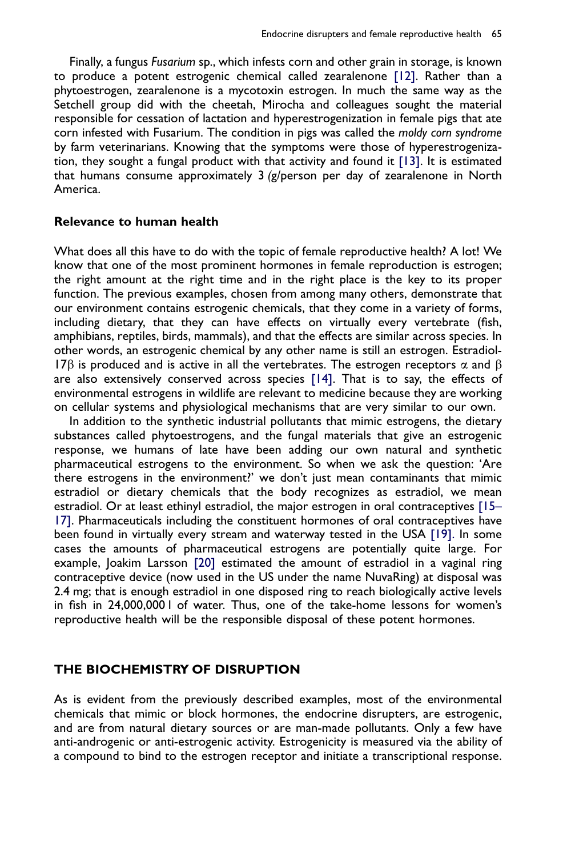Finally, a fungus Fusarium sp., which infests corn and other grain in storage, is known to produce a potent estrogenic chemical called zearalenone [\[12\].](#page-10-0) Rather than a phytoestrogen, zearalenone is a mycotoxin estrogen. In much the same way as the Setchell group did with the cheetah, Mirocha and colleagues sought the material responsible for cessation of lactation and hyperestrogenization in female pigs that ate corn infested with Fusarium. The condition in pigs was called the moldy corn syndrome by farm veterinarians. Knowing that the symptoms were those of hyperestrogenization, they sought a fungal product with that activity and found it [\[13\]](#page-10-0). It is estimated that humans consume approximately 3 (g/person per day of zearalenone in North America.

#### Relevance to human health

What does all this have to do with the topic of female reproductive health? A lot! We know that one of the most prominent hormones in female reproduction is estrogen; the right amount at the right time and in the right place is the key to its proper function. The previous examples, chosen from among many others, demonstrate that our environment contains estrogenic chemicals, that they come in a variety of forms, including dietary, that they can have effects on virtually every vertebrate (fish, amphibians, reptiles, birds, mammals), and that the effects are similar across species. In other words, an estrogenic chemical by any other name is still an estrogen. Estradiol-17 $\beta$  is produced and is active in all the vertebrates. The estrogen receptors  $\alpha$  and  $\beta$ are also extensively conserved across species [\[14\]](#page-10-0). That is to say, the effects of environmental estrogens in wildlife are relevant to medicine because they are working on cellular systems and physiological mechanisms that are very similar to our own.

In addition to the synthetic industrial pollutants that mimic estrogens, the dietary substances called phytoestrogens, and the fungal materials that give an estrogenic response, we humans of late have been adding our own natural and synthetic pharmaceutical estrogens to the environment. So when we ask the question: 'Are there estrogens in the environment?' we don't just mean contaminants that mimic estradiol or dietary chemicals that the body recognizes as estradiol, we mean estradiol. Or at least ethinyl estradiol, the major estrogen in oral contraceptives [\[15–](#page-10-0) [17\]](#page-10-0). Pharmaceuticals including the constituent hormones of oral contraceptives have been found in virtually every stream and waterway tested in the USA [\[19\].](#page-10-0) In some cases the amounts of pharmaceutical estrogens are potentially quite large. For example, Joakim Larsson [\[20\]](#page-10-0) estimated the amount of estradiol in a vaginal ring contraceptive device (now used in the US under the name NuvaRing) at disposal was 2.4 mg; that is enough estradiol in one disposed ring to reach biologically active levels in fish in 24,000,000 l of water. Thus, one of the take-home lessons for women's reproductive health will be the responsible disposal of these potent hormones.

#### THE BIOCHEMISTRY OF DISRUPTION

As is evident from the previously described examples, most of the environmental chemicals that mimic or block hormones, the endocrine disrupters, are estrogenic, and are from natural dietary sources or are man-made pollutants. Only a few have anti-androgenic or anti-estrogenic activity. Estrogenicity is measured via the ability of a compound to bind to the estrogen receptor and initiate a transcriptional response.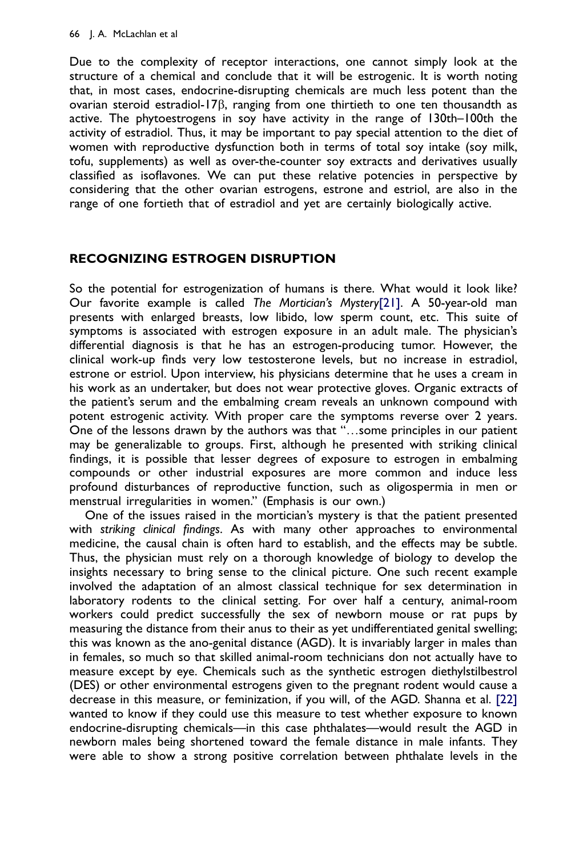Due to the complexity of receptor interactions, one cannot simply look at the structure of a chemical and conclude that it will be estrogenic. It is worth noting that, in most cases, endocrine-disrupting chemicals are much less potent than the ovarian steroid estradiol-17 $\beta$ , ranging from one thirtieth to one ten thousandth as active. The phytoestrogens in soy have activity in the range of 130th–100th the activity of estradiol. Thus, it may be important to pay special attention to the diet of women with reproductive dysfunction both in terms of total soy intake (soy milk, tofu, supplements) as well as over-the-counter soy extracts and derivatives usually classified as isoflavones. We can put these relative potencies in perspective by considering that the other ovarian estrogens, estrone and estriol, are also in the range of one fortieth that of estradiol and yet are certainly biologically active.

# RECOGNIZING ESTROGEN DISRUPTION

So the potential for estrogenization of humans is there. What would it look like? Our favorite example is called The Mortician's Mystery[\[21\].](#page-11-0) A 50-year-old man presents with enlarged breasts, low libido, low sperm count, etc. This suite of symptoms is associated with estrogen exposure in an adult male. The physician's differential diagnosis is that he has an estrogen-producing tumor. However, the clinical work-up finds very low testosterone levels, but no increase in estradiol, estrone or estriol. Upon interview, his physicians determine that he uses a cream in his work as an undertaker, but does not wear protective gloves. Organic extracts of the patient's serum and the embalming cream reveals an unknown compound with potent estrogenic activity. With proper care the symptoms reverse over 2 years. One of the lessons drawn by the authors was that "...some principles in our patient may be generalizable to groups. First, although he presented with striking clinical findings, it is possible that lesser degrees of exposure to estrogen in embalming compounds or other industrial exposures are more common and induce less profound disturbances of reproductive function, such as oligospermia in men or menstrual irregularities in women." (Emphasis is our own.)

One of the issues raised in the mortician's mystery is that the patient presented with striking clinical findings. As with many other approaches to environmental medicine, the causal chain is often hard to establish, and the effects may be subtle. Thus, the physician must rely on a thorough knowledge of biology to develop the insights necessary to bring sense to the clinical picture. One such recent example involved the adaptation of an almost classical technique for sex determination in laboratory rodents to the clinical setting. For over half a century, animal-room workers could predict successfully the sex of newborn mouse or rat pups by measuring the distance from their anus to their as yet undifferentiated genital swelling; this was known as the ano-genital distance (AGD). It is invariably larger in males than in females, so much so that skilled animal-room technicians don not actually have to measure except by eye. Chemicals such as the synthetic estrogen diethylstilbestrol (DES) or other environmental estrogens given to the pregnant rodent would cause a decrease in this measure, or feminization, if you will, of the AGD. Shanna et al. [\[22\]](#page-11-0) wanted to know if they could use this measure to test whether exposure to known endocrine-disrupting chemicals—in this case phthalates—would result the AGD in newborn males being shortened toward the female distance in male infants. They were able to show a strong positive correlation between phthalate levels in the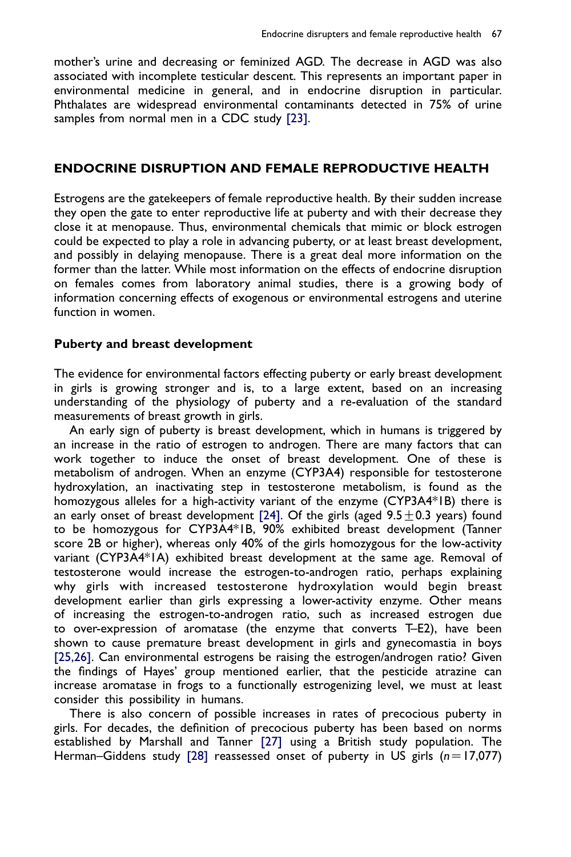mother's urine and decreasing or feminized AGD. The decrease in AGD was also associated with incomplete testicular descent. This represents an important paper in environmental medicine in general, and in endocrine disruption in particular. Phthalates are widespread environmental contaminants detected in 75% of urine samples from normal men in a CDC study [\[23\]](#page-11-0).

#### ENDOCRINE DISRUPTION AND FEMALE REPRODUCTIVE HEALTH

Estrogens are the gatekeepers of female reproductive health. By their sudden increase they open the gate to enter reproductive life at puberty and with their decrease they close it at menopause. Thus, environmental chemicals that mimic or block estrogen could be expected to play a role in advancing puberty, or at least breast development, and possibly in delaying menopause. There is a great deal more information on the former than the latter. While most information on the effects of endocrine disruption on females comes from laboratory animal studies, there is a growing body of information concerning effects of exogenous or environmental estrogens and uterine function in women.

#### Puberty and breast development

The evidence for environmental factors effecting puberty or early breast development in girls is growing stronger and is, to a large extent, based on an increasing understanding of the physiology of puberty and a re-evaluation of the standard measurements of breast growth in girls.

An early sign of puberty is breast development, which in humans is triggered by an increase in the ratio of estrogen to androgen. There are many factors that can work together to induce the onset of breast development. One of these is metabolism of androgen. When an enzyme (CYP3A4) responsible for testosterone hydroxylation, an inactivating step in testosterone metabolism, is found as the homozygous alleles for a high-activity variant of the enzyme (CYP3A4\*1B) there is an early onset of breast development [\[24\]](#page-11-0). Of the girls (aged  $9.5\pm0.3$  years) found to be homozygous for CYP3A4\*1B, 90% exhibited breast development (Tanner score 2B or higher), whereas only 40% of the girls homozygous for the low-activity variant (CYP3A4\*1A) exhibited breast development at the same age. Removal of testosterone would increase the estrogen-to-androgen ratio, perhaps explaining why girls with increased testosterone hydroxylation would begin breast development earlier than girls expressing a lower-activity enzyme. Other means of increasing the estrogen-to-androgen ratio, such as increased estrogen due to over-expression of aromatase (the enzyme that converts T–E2), have been shown to cause premature breast development in girls and gynecomastia in boys [\[25,26\].](#page-11-0) Can environmental estrogens be raising the estrogen/androgen ratio? Given the findings of Hayes' group mentioned earlier, that the pesticide atrazine can increase aromatase in frogs to a functionally estrogenizing level, we must at least consider this possibility in humans.

There is also concern of possible increases in rates of precocious puberty in girls. For decades, the definition of precocious puberty has been based on norms established by Marshall and Tanner [\[27\]](#page-11-0) using a British study population. The Herman–Giddens study [\[28\]](#page-11-0) reassessed onset of puberty in US girls ( $n=17,077$ )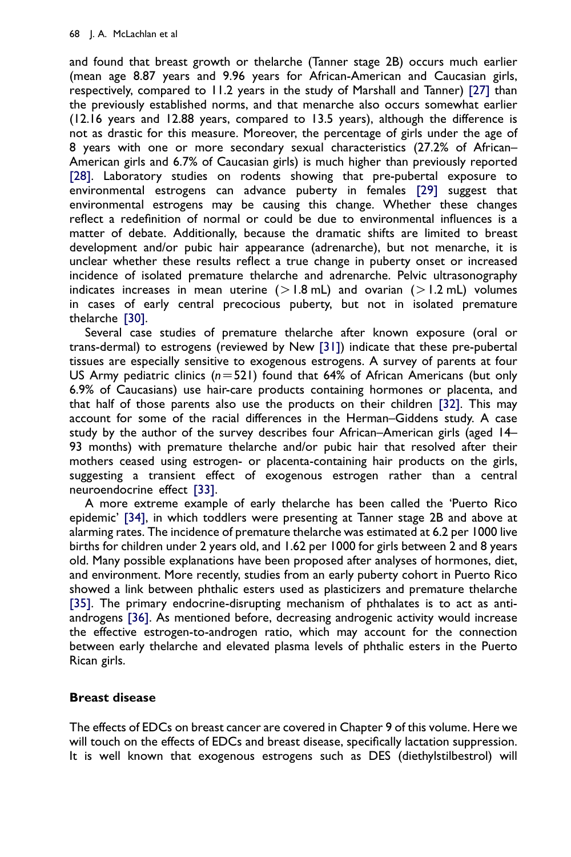and found that breast growth or thelarche (Tanner stage 2B) occurs much earlier (mean age 8.87 years and 9.96 years for African-American and Caucasian girls, respectively, compared to 11.2 years in the study of Marshall and Tanner) [\[27\]](#page-11-0) than the previously established norms, and that menarche also occurs somewhat earlier (12.16 years and 12.88 years, compared to 13.5 years), although the difference is not as drastic for this measure. Moreover, the percentage of girls under the age of 8 years with one or more secondary sexual characteristics (27.2% of African– American girls and 6.7% of Caucasian girls) is much higher than previously reported [\[28\]](#page-11-0). Laboratory studies on rodents showing that pre-pubertal exposure to environmental estrogens can advance puberty in females [\[29\]](#page-11-0) suggest that environmental estrogens may be causing this change. Whether these changes reflect a redefinition of normal or could be due to environmental influences is a matter of debate. Additionally, because the dramatic shifts are limited to breast development and/or pubic hair appearance (adrenarche), but not menarche, it is unclear whether these results reflect a true change in puberty onset or increased incidence of isolated premature thelarche and adrenarche. Pelvic ultrasonography indicates increases in mean uterine  $(>1.8$  mL) and ovarian  $(>1.2$  mL) volumes in cases of early central precocious puberty, but not in isolated premature thelarche [\[30\]](#page-11-0).

Several case studies of premature thelarche after known exposure (oral or trans-dermal) to estrogens (reviewed by New [\[31\]\)](#page-11-0) indicate that these pre-pubertal tissues are especially sensitive to exogenous estrogens. A survey of parents at four US Army pediatric clinics ( $n=521$ ) found that 64% of African Americans (but only 6.9% of Caucasians) use hair-care products containing hormones or placenta, and that half of those parents also use the products on their children [\[32\]](#page-11-0). This may account for some of the racial differences in the Herman–Giddens study. A case study by the author of the survey describes four African–American girls (aged 14– 93 months) with premature thelarche and/or pubic hair that resolved after their mothers ceased using estrogen- or placenta-containing hair products on the girls, suggesting a transient effect of exogenous estrogen rather than a central neuroendocrine effect [\[33\]](#page-11-0).

A more extreme example of early thelarche has been called the 'Puerto Rico epidemic' [\[34\],](#page-11-0) in which toddlers were presenting at Tanner stage 2B and above at alarming rates. The incidence of premature thelarche was estimated at 6.2 per 1000 live births for children under 2 years old, and 1.62 per 1000 for girls between 2 and 8 years old. Many possible explanations have been proposed after analyses of hormones, diet, and environment. More recently, studies from an early puberty cohort in Puerto Rico showed a link between phthalic esters used as plasticizers and premature thelarche [\[35\]](#page-11-0). The primary endocrine-disrupting mechanism of phthalates is to act as antiandrogens [\[36\]](#page-11-0). As mentioned before, decreasing androgenic activity would increase the effective estrogen-to-androgen ratio, which may account for the connection between early thelarche and elevated plasma levels of phthalic esters in the Puerto Rican girls.

# Breast disease

The effects of EDCs on breast cancer are covered in Chapter 9 of this volume. Here we will touch on the effects of EDCs and breast disease, specifically lactation suppression. It is well known that exogenous estrogens such as DES (diethylstilbestrol) will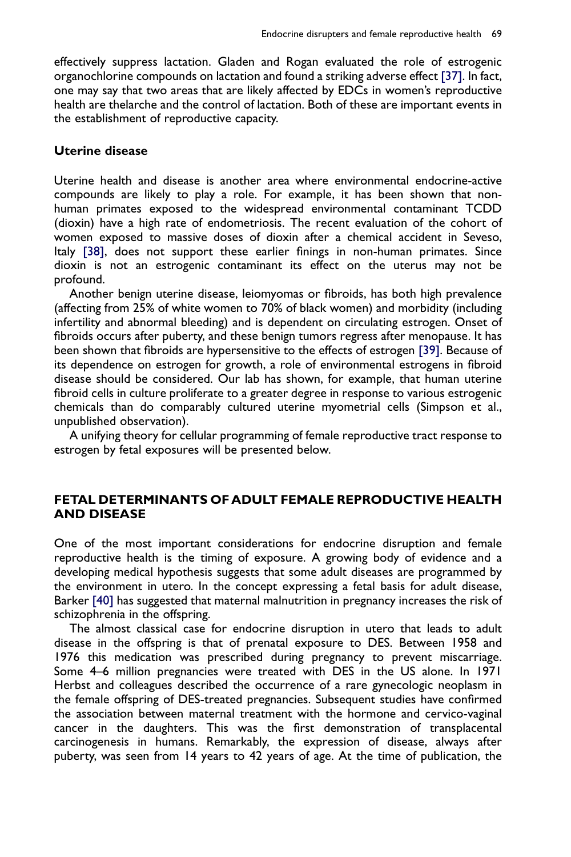effectively suppress lactation. Gladen and Rogan evaluated the role of estrogenic organochlorine compounds on lactation and found a striking adverse effect [\[37\].](#page-11-0) In fact, one may say that two areas that are likely affected by EDCs in women's reproductive health are thelarche and the control of lactation. Both of these are important events in the establishment of reproductive capacity.

#### Uterine disease

Uterine health and disease is another area where environmental endocrine-active compounds are likely to play a role. For example, it has been shown that nonhuman primates exposed to the widespread environmental contaminant TCDD (dioxin) have a high rate of endometriosis. The recent evaluation of the cohort of women exposed to massive doses of dioxin after a chemical accident in Seveso, Italy [\[38\],](#page-11-0) does not support these earlier finings in non-human primates. Since dioxin is not an estrogenic contaminant its effect on the uterus may not be profound.

Another benign uterine disease, leiomyomas or fibroids, has both high prevalence (affecting from 25% of white women to 70% of black women) and morbidity (including infertility and abnormal bleeding) and is dependent on circulating estrogen. Onset of fibroids occurs after puberty, and these benign tumors regress after menopause. It has been shown that fibroids are hypersensitive to the effects of estrogen [\[39\]](#page-11-0). Because of its dependence on estrogen for growth, a role of environmental estrogens in fibroid disease should be considered. Our lab has shown, for example, that human uterine fibroid cells in culture proliferate to a greater degree in response to various estrogenic chemicals than do comparably cultured uterine myometrial cells (Simpson et al., unpublished observation).

A unifying theory for cellular programming of female reproductive tract response to estrogen by fetal exposures will be presented below.

# FETAL DETERMINANTS OF ADULT FEMALE REPRODUCTIVE HEALTH AND DISEASE

One of the most important considerations for endocrine disruption and female reproductive health is the timing of exposure. A growing body of evidence and a developing medical hypothesis suggests that some adult diseases are programmed by the environment in utero. In the concept expressing a fetal basis for adult disease, Barker [\[40\]](#page-11-0) has suggested that maternal malnutrition in pregnancy increases the risk of schizophrenia in the offspring.

The almost classical case for endocrine disruption in utero that leads to adult disease in the offspring is that of prenatal exposure to DES. Between 1958 and 1976 this medication was prescribed during pregnancy to prevent miscarriage. Some 4–6 million pregnancies were treated with DES in the US alone. In 1971 Herbst and colleagues described the occurrence of a rare gynecologic neoplasm in the female offspring of DES-treated pregnancies. Subsequent studies have confirmed the association between maternal treatment with the hormone and cervico-vaginal cancer in the daughters. This was the first demonstration of transplacental carcinogenesis in humans. Remarkably, the expression of disease, always after puberty, was seen from 14 years to 42 years of age. At the time of publication, the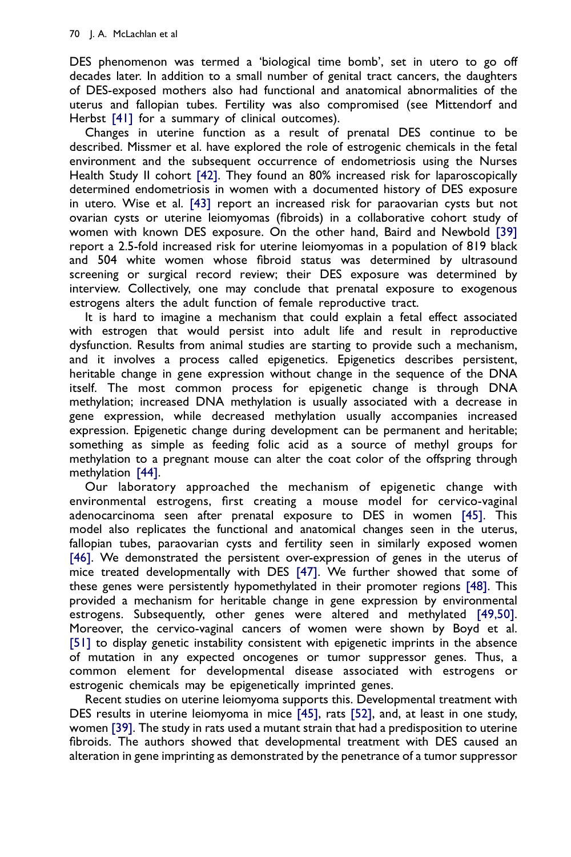DES phenomenon was termed a 'biological time bomb', set in utero to go off decades later. In addition to a small number of genital tract cancers, the daughters of DES-exposed mothers also had functional and anatomical abnormalities of the uterus and fallopian tubes. Fertility was also compromised (see Mittendorf and Herbst [\[41\]](#page-11-0) for a summary of clinical outcomes).

Changes in uterine function as a result of prenatal DES continue to be described. Missmer et al. have explored the role of estrogenic chemicals in the fetal environment and the subsequent occurrence of endometriosis using the Nurses Health Study II cohort [\[42\].](#page-11-0) They found an 80% increased risk for laparoscopically determined endometriosis in women with a documented history of DES exposure in utero. Wise et al. [\[43\]](#page-11-0) report an increased risk for paraovarian cysts but not ovarian cysts or uterine leiomyomas (fibroids) in a collaborative cohort study of women with known DES exposure. On the other hand, Baird and Newbold [\[39\]](#page-11-0) report a 2.5-fold increased risk for uterine leiomyomas in a population of 819 black and 504 white women whose fibroid status was determined by ultrasound screening or surgical record review; their DES exposure was determined by interview. Collectively, one may conclude that prenatal exposure to exogenous estrogens alters the adult function of female reproductive tract.

It is hard to imagine a mechanism that could explain a fetal effect associated with estrogen that would persist into adult life and result in reproductive dysfunction. Results from animal studies are starting to provide such a mechanism, and it involves a process called epigenetics. Epigenetics describes persistent, heritable change in gene expression without change in the sequence of the DNA itself. The most common process for epigenetic change is through DNA methylation; increased DNA methylation is usually associated with a decrease in gene expression, while decreased methylation usually accompanies increased expression. Epigenetic change during development can be permanent and heritable; something as simple as feeding folic acid as a source of methyl groups for methylation to a pregnant mouse can alter the coat color of the offspring through methylation [\[44\]](#page-11-0).

Our laboratory approached the mechanism of epigenetic change with environmental estrogens, first creating a mouse model for cervico-vaginal adenocarcinoma seen after prenatal exposure to DES in women [\[45\].](#page-12-0) This model also replicates the functional and anatomical changes seen in the uterus, fallopian tubes, paraovarian cysts and fertility seen in similarly exposed women [\[46\]](#page-12-0). We demonstrated the persistent over-expression of genes in the uterus of mice treated developmentally with DES [\[47\].](#page-12-0) We further showed that some of these genes were persistently hypomethylated in their promoter regions [\[48\]](#page-12-0). This provided a mechanism for heritable change in gene expression by environmental estrogens. Subsequently, other genes were altered and methylated [\[49,50\]](#page-12-0). Moreover, the cervico-vaginal cancers of women were shown by Boyd et al. [\[51\]](#page-12-0) to display genetic instability consistent with epigenetic imprints in the absence of mutation in any expected oncogenes or tumor suppressor genes. Thus, a common element for developmental disease associated with estrogens or estrogenic chemicals may be epigenetically imprinted genes.

Recent studies on uterine leiomyoma supports this. Developmental treatment with DES results in uterine leiomyoma in mice [\[45\]](#page-12-0), rats [\[52\],](#page-12-0) and, at least in one study, women [\[39\].](#page-11-0) The study in rats used a mutant strain that had a predisposition to uterine fibroids. The authors showed that developmental treatment with DES caused an alteration in gene imprinting as demonstrated by the penetrance of a tumor suppressor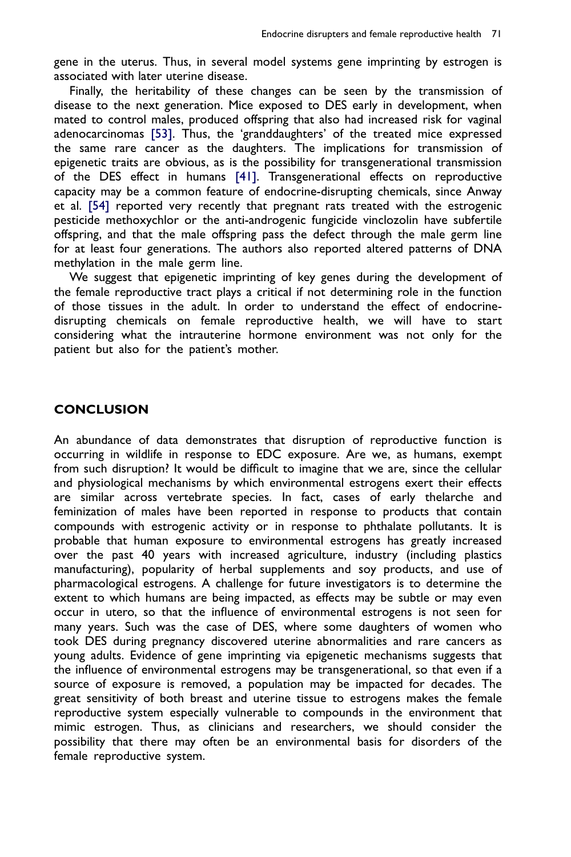gene in the uterus. Thus, in several model systems gene imprinting by estrogen is associated with later uterine disease.

Finally, the heritability of these changes can be seen by the transmission of disease to the next generation. Mice exposed to DES early in development, when mated to control males, produced offspring that also had increased risk for vaginal adenocarcinomas [\[53\]](#page-12-0). Thus, the 'granddaughters' of the treated mice expressed the same rare cancer as the daughters. The implications for transmission of epigenetic traits are obvious, as is the possibility for transgenerational transmission of the DES effect in humans [\[41\].](#page-11-0) Transgenerational effects on reproductive capacity may be a common feature of endocrine-disrupting chemicals, since Anway et al. [\[54\]](#page-12-0) reported very recently that pregnant rats treated with the estrogenic pesticide methoxychlor or the anti-androgenic fungicide vinclozolin have subfertile offspring, and that the male offspring pass the defect through the male germ line for at least four generations. The authors also reported altered patterns of DNA methylation in the male germ line.

We suggest that epigenetic imprinting of key genes during the development of the female reproductive tract plays a critical if not determining role in the function of those tissues in the adult. In order to understand the effect of endocrinedisrupting chemicals on female reproductive health, we will have to start considering what the intrauterine hormone environment was not only for the patient but also for the patient's mother.

#### **CONCLUSION**

An abundance of data demonstrates that disruption of reproductive function is occurring in wildlife in response to EDC exposure. Are we, as humans, exempt from such disruption? It would be difficult to imagine that we are, since the cellular and physiological mechanisms by which environmental estrogens exert their effects are similar across vertebrate species. In fact, cases of early thelarche and feminization of males have been reported in response to products that contain compounds with estrogenic activity or in response to phthalate pollutants. It is probable that human exposure to environmental estrogens has greatly increased over the past 40 years with increased agriculture, industry (including plastics manufacturing), popularity of herbal supplements and soy products, and use of pharmacological estrogens. A challenge for future investigators is to determine the extent to which humans are being impacted, as effects may be subtle or may even occur in utero, so that the influence of environmental estrogens is not seen for many years. Such was the case of DES, where some daughters of women who took DES during pregnancy discovered uterine abnormalities and rare cancers as young adults. Evidence of gene imprinting via epigenetic mechanisms suggests that the influence of environmental estrogens may be transgenerational, so that even if a source of exposure is removed, a population may be impacted for decades. The great sensitivity of both breast and uterine tissue to estrogens makes the female reproductive system especially vulnerable to compounds in the environment that mimic estrogen. Thus, as clinicians and researchers, we should consider the possibility that there may often be an environmental basis for disorders of the female reproductive system.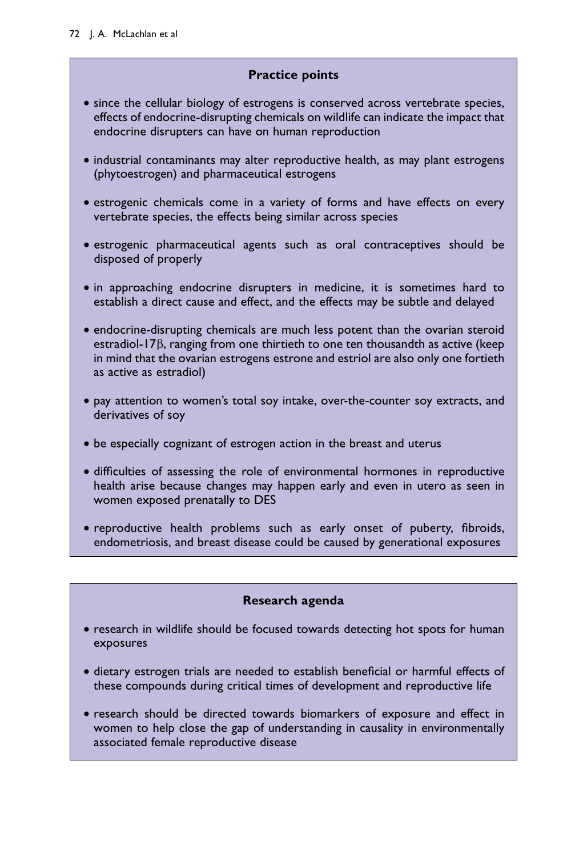# Practice points

- since the cellular biology of estrogens is conserved across vertebrate species, effects of endocrine-disrupting chemicals on wildlife can indicate the impact that endocrine disrupters can have on human reproduction
- industrial contaminants may alter reproductive health, as may plant estrogens (phytoestrogen) and pharmaceutical estrogens
- estrogenic chemicals come in a variety of forms and have effects on every vertebrate species, the effects being similar across species
- † estrogenic pharmaceutical agents such as oral contraceptives should be disposed of properly
- in approaching endocrine disrupters in medicine, it is sometimes hard to establish a direct cause and effect, and the effects may be subtle and delayed
- endocrine-disrupting chemicals are much less potent than the ovarian steroid estradiol-17 $\beta$ , ranging from one thirtieth to one ten thousandth as active (keep in mind that the ovarian estrogens estrone and estriol are also only one fortieth as active as estradiol)
- † pay attention to women's total soy intake, over-the-counter soy extracts, and derivatives of soy
- be especially cognizant of estrogen action in the breast and uterus
- difficulties of assessing the role of environmental hormones in reproductive health arise because changes may happen early and even in utero as seen in women exposed prenatally to DES
- † reproductive health problems such as early onset of puberty, fibroids, endometriosis, and breast disease could be caused by generational exposures

# Research agenda

- research in wildlife should be focused towards detecting hot spots for human exposures
- † dietary estrogen trials are needed to establish beneficial or harmful effects of these compounds during critical times of development and reproductive life
- † research should be directed towards biomarkers of exposure and effect in women to help close the gap of understanding in causality in environmentally associated female reproductive disease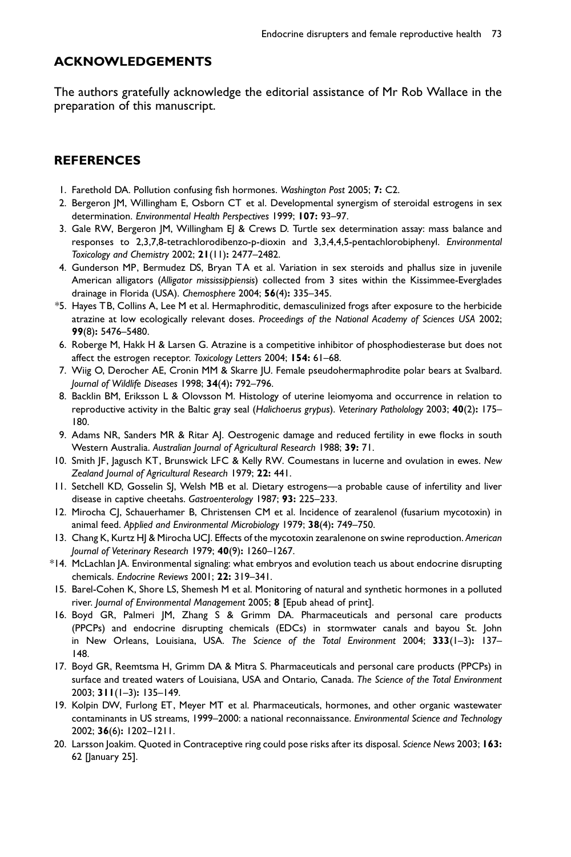## <span id="page-10-0"></span>ACKNOWLEDGEMENTS

The authors gratefully acknowledge the editorial assistance of Mr Rob Wallace in the preparation of this manuscript.

## REFERENCES

- 1. Farethold DA. Pollution confusing fish hormones. Washington Post 2005; 7: C2.
- 2. Bergeron JM, Willingham E, Osborn CT et al. Developmental synergism of steroidal estrogens in sex determination. Environmental Health Perspectives 1999; 107: 93–97.
- 3. Gale RW, Bergeron JM, Willingham EJ & Crews D. Turtle sex determination assay: mass balance and responses to 2,3,7,8-tetrachlorodibenzo-p-dioxin and 3,3,4,4,5-pentachlorobiphenyl. Environmental Toxicology and Chemistry 2002; 21(11): 2477–2482.
- 4. Gunderson MP, Bermudez DS, Bryan TA et al. Variation in sex steroids and phallus size in juvenile American alligators (Alligator mississippiensis) collected from 3 sites within the Kissimmee-Everglades drainage in Florida (USA). Chemosphere 2004; 56(4): 335–345.
- \*5. Hayes TB, Collins A, Lee M et al. Hermaphroditic, demasculinized frogs after exposure to the herbicide atrazine at low ecologically relevant doses. Proceedings of the National Academy of Sciences USA 2002; 99(8): 5476–5480.
- 6. Roberge M, Hakk H & Larsen G. Atrazine is a competitive inhibitor of phosphodiesterase but does not affect the estrogen receptor. Toxicology Letters 2004; 154: 61–68.
- 7. Wiig O, Derocher AE, Cronin MM & Skarre JU. Female pseudohermaphrodite polar bears at Svalbard. Journal of Wildlife Diseases 1998; 34(4): 792–796.
- 8. Backlin BM, Eriksson L & Olovsson M. Histology of uterine leiomyoma and occurrence in relation to reproductive activity in the Baltic gray seal (Halichoerus grypus). Veterinary Patholology 2003; 40(2): 175– 180.
- 9. Adams NR, Sanders MR & Ritar AJ. Oestrogenic damage and reduced fertility in ewe flocks in south Western Australia. Australian Journal of Agricultural Research 1988; 39: 71.
- 10. Smith JF, Jagusch KT, Brunswick LFC & Kelly RW. Coumestans in lucerne and ovulation in ewes. New Zealand Journal of Agricultural Research 1979; 22: 441.
- 11. Setchell KD, Gosselin SJ, Welsh MB et al. Dietary estrogens—a probable cause of infertility and liver disease in captive cheetahs. Gastroenterology 1987; 93: 225–233.
- 12. Mirocha CJ, Schauerhamer B, Christensen CM et al. Incidence of zearalenol (fusarium mycotoxin) in animal feed. Applied and Environmental Microbiology 1979; 38(4): 749–750.
- 13. Chang K, Kurtz HJ & Mirocha UCJ. Effects of the mycotoxin zearalenone on swine reproduction. American Journal of Veterinary Research 1979; 40(9): 1260–1267.
- \*14. McLachlan JA. Environmental signaling: what embryos and evolution teach us about endocrine disrupting chemicals. Endocrine Reviews 2001; 22: 319–341.
- 15. Barel-Cohen K, Shore LS, Shemesh M et al. Monitoring of natural and synthetic hormones in a polluted river. Journal of Environmental Management 2005; 8 [Epub ahead of print].
- 16. Boyd GR, Palmeri JM, Zhang S & Grimm DA. Pharmaceuticals and personal care products (PPCPs) and endocrine disrupting chemicals (EDCs) in stormwater canals and bayou St. John in New Orleans, Louisiana, USA. The Science of the Total Environment 2004; 333(1–3): 137– 148.
- 17. Boyd GR, Reemtsma H, Grimm DA & Mitra S. Pharmaceuticals and personal care products (PPCPs) in surface and treated waters of Louisiana, USA and Ontario, Canada. The Science of the Total Environment 2003; 311(1–3): 135–149.
- 19. Kolpin DW, Furlong ET, Meyer MT et al. Pharmaceuticals, hormones, and other organic wastewater contaminants in US streams, 1999–2000: a national reconnaissance. Environmental Science and Technology 2002; 36(6): 1202–1211.
- 20. Larsson Joakim. Quoted in Contraceptive ring could pose risks after its disposal. Science News 2003; 163: 62 [January 25].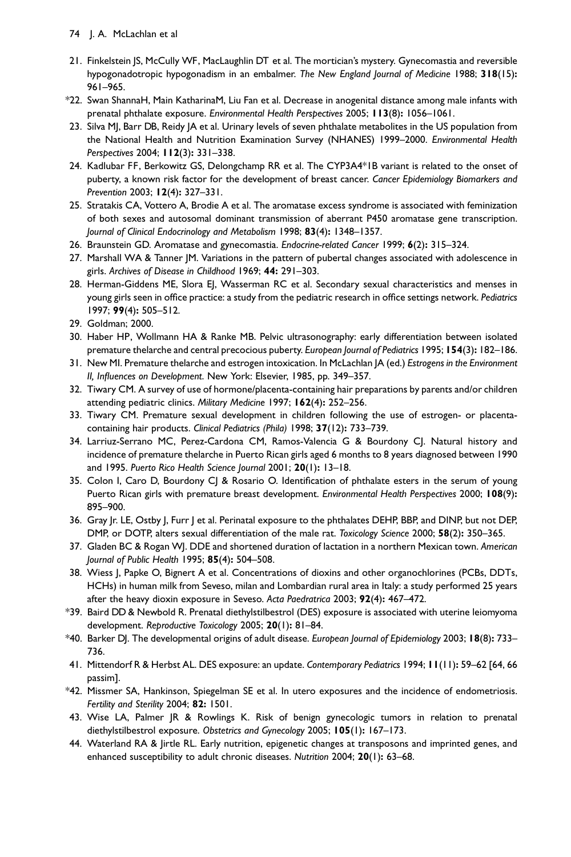- <span id="page-11-0"></span>74 J. A. McLachlan et al
- 21. Finkelstein JS, McCully WF, MacLaughlin DT et al. The mortician's mystery. Gynecomastia and reversible hypogonadotropic hypogonadism in an embalmer. The New England Journal of Medicine 1988; 318(15): 961–965.
- \*22. Swan ShannaH, Main KatharinaM, Liu Fan et al. Decrease in anogenital distance among male infants with prenatal phthalate exposure. Environmental Health Perspectives 2005; 113(8): 1056–1061.
- 23. Silva MJ, Barr DB, Reidy JA et al. Urinary levels of seven phthalate metabolites in the US population from the National Health and Nutrition Examination Survey (NHANES) 1999–2000. Environmental Health Perspectives 2004; 112(3): 331–338.
- 24. Kadlubar FF, Berkowitz GS, Delongchamp RR et al. The CYP3A4\*1B variant is related to the onset of puberty, a known risk factor for the development of breast cancer. Cancer Epidemiology Biomarkers and Prevention 2003; 12(4): 327–331.
- 25. Stratakis CA, Vottero A, Brodie A et al. The aromatase excess syndrome is associated with feminization of both sexes and autosomal dominant transmission of aberrant P450 aromatase gene transcription. Journal of Clinical Endocrinology and Metabolism 1998; 83(4): 1348–1357.
- 26. Braunstein GD. Aromatase and gynecomastia. Endocrine-related Cancer 1999; 6(2): 315–324.
- 27. Marshall WA & Tanner JM. Variations in the pattern of pubertal changes associated with adolescence in girls. Archives of Disease in Childhood 1969; 44: 291–303.
- 28. Herman-Giddens ME, Slora EJ, Wasserman RC et al. Secondary sexual characteristics and menses in young girls seen in office practice: a study from the pediatric research in office settings network. Pediatrics 1997; 99(4): 505–512.
- 29. Goldman; 2000.
- 30. Haber HP, Wollmann HA & Ranke MB. Pelvic ultrasonography: early differentiation between isolated premature thelarche and central precocious puberty. European Journal of Pediatrics 1995; 154(3): 182-186.
- 31. New MI. Premature thelarche and estrogen intoxication. In McLachlan JA (ed.) Estrogens in the Environment II, Influences on Development. New York: Elsevier, 1985, pp. 349–357.
- 32. Tiwary CM. A survey of use of hormone/placenta-containing hair preparations by parents and/or children attending pediatric clinics. Military Medicine 1997; 162(4): 252–256.
- 33. Tiwary CM. Premature sexual development in children following the use of estrogen- or placentacontaining hair products. Clinical Pediatrics (Phila) 1998; 37(12): 733–739.
- 34. Larriuz-Serrano MC, Perez-Cardona CM, Ramos-Valencia G & Bourdony CJ. Natural history and incidence of premature thelarche in Puerto Rican girls aged 6 months to 8 years diagnosed between 1990 and 1995. Puerto Rico Health Science Journal 2001; 20(1): 13-18.
- 35. Colon I, Caro D, Bourdony CJ & Rosario O. Identification of phthalate esters in the serum of young Puerto Rican girls with premature breast development. Environmental Health Perspectives 2000; 108(9): 895–900.
- 36. Gray Jr. LE, Ostby J, Furr J et al. Perinatal exposure to the phthalates DEHP, BBP, and DINP, but not DEP, DMP, or DOTP, alters sexual differentiation of the male rat. Toxicology Science 2000; 58(2): 350-365.
- 37. Gladen BC & Rogan WJ. DDE and shortened duration of lactation in a northern Mexican town. American Journal of Public Health 1995; 85(4): 504–508.
- 38. Wiess J, Papke O, Bignert A et al. Concentrations of dioxins and other organochlorines (PCBs, DDTs, HCHs) in human milk from Seveso, milan and Lombardian rural area in Italy: a study performed 25 years after the heavy dioxin exposure in Seveso. Acta Paedratrica 2003; 92(4): 467-472.
- \*39. Baird DD & Newbold R. Prenatal diethylstilbestrol (DES) exposure is associated with uterine leiomyoma development. Reproductive Toxicology 2005; 20(1): 81-84.
- \*40. Barker DJ. The developmental origins of adult disease. European Journal of Epidemiology 2003; 18(8): 733– 736.
- 41. Mittendorf R & Herbst AL. DES exposure: an update. Contemporary Pediatrics 1994; 11(11): 59–62 [64, 66 passim].
- \*42. Missmer SA, Hankinson, Spiegelman SE et al. In utero exposures and the incidence of endometriosis. Fertility and Sterility 2004; 82: 1501.
- 43. Wise LA, Palmer JR & Rowlings K. Risk of benign gynecologic tumors in relation to prenatal diethylstilbestrol exposure. Obstetrics and Gynecology 2005; 105(1): 167–173.
- 44. Waterland RA & Jirtle RL. Early nutrition, epigenetic changes at transposons and imprinted genes, and enhanced susceptibility to adult chronic diseases. Nutrition 2004; 20(1): 63-68.